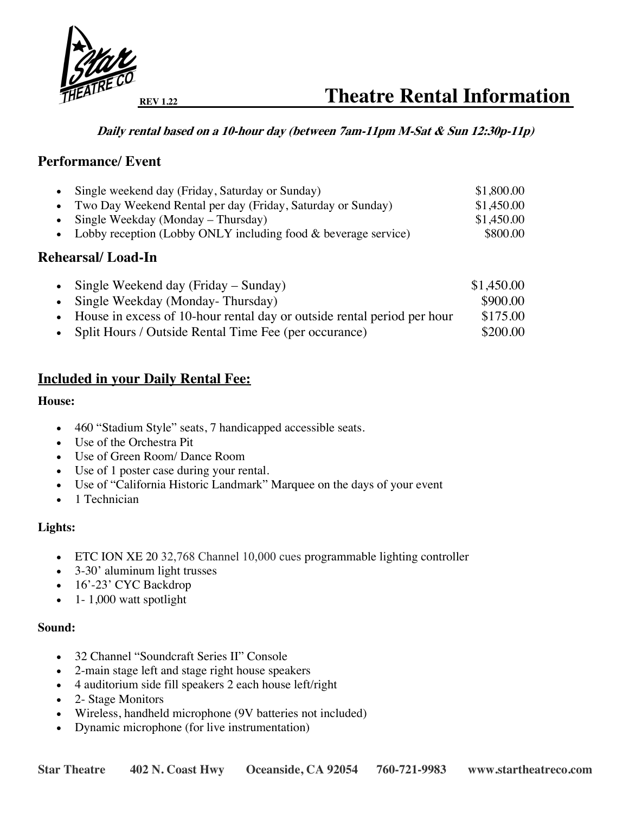

### **Daily rental based on a 10-hour day (between 7am-11pm M-Sat & Sun 12:30p-11p)**

## **Performance/ Event**

| • Single weekend day (Friday, Saturday or Sunday)                | \$1,800.00 |
|------------------------------------------------------------------|------------|
| • Two Day Weekend Rental per day (Friday, Saturday or Sunday)    | \$1,450.00 |
| • Single Weekday (Monday – Thursday)                             | \$1,450.00 |
| • Lobby reception (Lobby ONLY including food & beverage service) | \$800.00   |

### **Rehearsal/ Load-In**

| • Single Weekend day (Friday – Sunday)                                    | \$1,450.00 |
|---------------------------------------------------------------------------|------------|
| • Single Weekday (Monday-Thursday)                                        | \$900.00   |
| • House in excess of 10-hour rental day or outside rental period per hour | \$175.00   |
| • Split Hours / Outside Rental Time Fee (per occurance)                   | \$200.00   |

## **Included in your Daily Rental Fee:**

#### **House:**

- 460 "Stadium Style" seats, 7 handicapped accessible seats.
- Use of the Orchestra Pit
- Use of Green Room/ Dance Room
- Use of 1 poster case during your rental.
- Use of "California Historic Landmark" Marquee on the days of your event
- 1 Technician

### **Lights:**

- ETC ION XE 20 32,768 Channel 10,000 cues programmable lighting controller
- 3-30' aluminum light trusses
- 16'-23' CYC Backdrop
- $\bullet$  1- 1,000 watt spotlight

#### **Sound:**

- 32 Channel "Soundcraft Series II" Console
- 2-main stage left and stage right house speakers
- 4 auditorium side fill speakers 2 each house left/right
- 2- Stage Monitors
- Wireless, handheld microphone (9V batteries not included)
- Dynamic microphone (for live instrumentation)